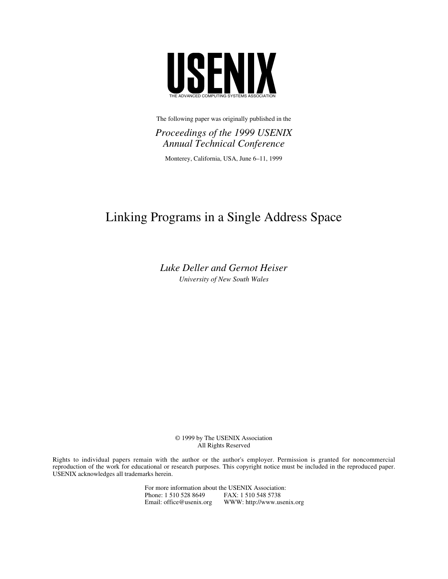

The following paper was originally published in the

*Proceedings of the 1999 USENIX Annual Technical Conference*

Monterey, California, USA, June 6–11, 1999

# Linking Programs in a Single Address Space

*Luke Deller and Gernot Heiser University of New South Wales*

> © 1999 by The USENIX Association All Rights Reserved

Rights to individual papers remain with the author or the author's employer. Permission is granted for noncommercial reproduction of the work for educational or research purposes. This copyright notice must be included in the reproduced paper. USENIX acknowledges all trademarks herein.

> For more information about the USENIX Association:<br>Phone: 1 510 528 8649 FAX: 1 510 548 5738 Phone: 1 510 528 8649<br>Email: office@usenix.org WWW: http://www.usenix.org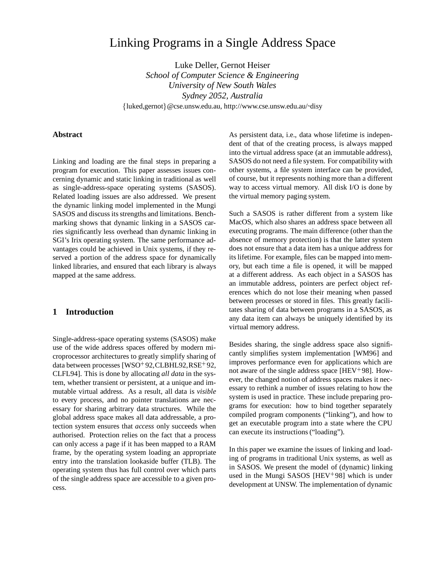# Linking Programs in a Single Address Space

Luke Deller, Gernot Heiser *School of Computer Science & Engineering University of New South Wales Sydney 2052, Australia* {luked,gernot}@cse.unsw.edu.au, http://www.cse.unsw.edu.au/~disy

#### **Abstract**

Linking and loading are the final steps in preparing a program for execution. This paper assesses issues concerning dynamic and static linking in traditional as well as single-address-space operating systems (SASOS). Related loading issues are also addressed. We present the dynamic linking model implemented in the Mungi SASOS and discuss its strengths and limitations. Benchmarking shows that dynamic linking in a SASOS carries significantly less overhead than dynamic linking in SGI's Irix operating system. The same performance advantages could be achieved in Unix systems, if they reserved a portion of the address space for dynamically linked libraries, and ensured that each library is always mapped at the same address.

#### **1 Introduction**

Single-address-space operating systems (SASOS) make use of the wide address spaces offered by modern microprocessor architectures to greatly simplify sharing of data between processes [WSO<sup>+</sup> 92,CLBHL92,RSE<sup>+</sup> 92, CLFL94]. This is done by allocating *all data* in the system, whether transient or persistent, at a unique and immutable virtual address. As a result, all data is *visible* to every process, and no pointer translations are necessary for sharing arbitrary data structures. While the global address space makes all data addressable, a protection system ensures that *access* only succeeds when authorised. Protection relies on the fact that a process can only access a page if it has been mapped to a RAM frame, by the operating system loading an appropriate entry into the translation lookaside buffer (TLB). The operating system thus has full control over which parts of the single address space are accessible to a given process.

As persistent data, i.e., data whose lifetime is independent of that of the creating process, is always mapped into the virtual address space (at an immutable address), SASOS do not need a file system. For compatibility with other systems, a file system interface can be provided, of course, but it represents nothing more than a different way to access virtual memory. All disk I/O is done by the virtual memory paging system.

Such a SASOS is rather different from a system like MacOS, which also shares an address space between all executing programs. The main difference (other than the absence of memory protection) is that the latter system does not ensure that a data item has a unique address for its lifetime. For example, files can be mapped into memory, but each time a file is opened, it will be mapped at a different address. As each object in a SASOS has an immutable address, pointers are perfect object references which do not lose their meaning when passed between processes or stored in files. This greatly facilitates sharing of data between programs in a SASOS, as any data item can always be uniquely identified by its virtual memory address.

Besides sharing, the single address space also significantly simplifies system implementation [WM96] and improves performance even for applications which are not aware of the single address space [HEV<sup>+</sup> 98]. However, the changed notion of address spaces makes it necessary to rethink a number of issues relating to how the system is used in practice. These include preparing programs for execution: how to bind together separately compiled program components ("linking"), and how to get an executable program into a state where the CPU can execute its instructions ("loading").

In this paper we examine the issues of linking and loading of programs in traditional Unix systems, as well as in SASOS. We present the model of (dynamic) linking used in the Mungi SASOS [HEV<sup>+</sup> 98] which is under development at UNSW. The implementation of dynamic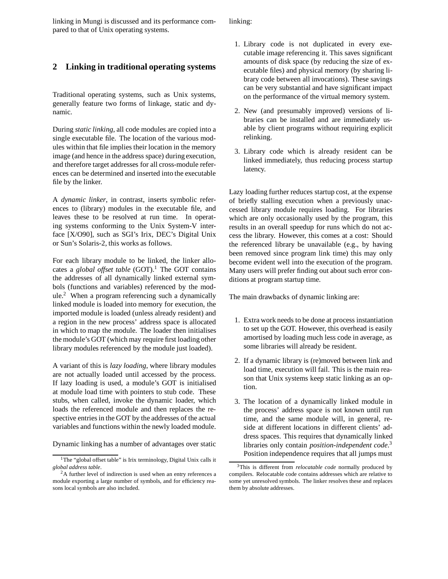linking in Mungi is discussed and its performance compared to that of Unix operating systems.

linking:

# **2 Linking in traditional operating systems**

Traditional operating systems, such as Unix systems, generally feature two forms of linkage, static and dynamic.

During *static linking*, all code modules are copied into a single executable file. The location of the various modules within that file implies their location in the memory image (and hence in the address space) during execution, and therefore target addresses for all cross-module references can be determined and inserted into the executable file by the linker.

A *dynamic linker*, in contrast, inserts symbolic references to (library) modules in the executable file, and leaves these to be resolved at run time. In operating systems conforming to the Unix System-V interface [X/O90], such as SGI's Irix, DEC's Digital Unix or Sun's Solaris-2, this works as follows.

For each library module to be linked, the linker allocates a *global offset table* (GOT).<sup>1</sup> The GOT contains the addresses of all dynamically linked external symbols (functions and variables) referenced by the mod $ule.<sup>2</sup>$  When a program referencing such a dynamically linked module is loaded into memory for execution, the imported module is loaded (unless already resident) and a region in the new process' address space is allocated in which to map the module. The loader then initialises the module's GOT (which may require first loading other library modules referenced by the module just loaded).

A variant of this is *lazy loading*, where library modules are not actually loaded until accessed by the process. If lazy loading is used, a module's GOT is initialised at module load time with pointers to stub code. These stubs, when called, invoke the dynamic loader, which loads the referenced module and then replaces the respective entries in the GOT by the addresses of the actual variables and functions within the newly loaded module.

Dynamic linking has a number of advantages over static

- 1. Library code is not duplicated in every executable image referencing it. This saves significant amounts of disk space (by reducing the size of executable files) and physical memory (by sharing library code between all invocations). These savings can be very substantial and have significant impact on the performance of the virtual memory system.
- 2. New (and presumably improved) versions of libraries can be installed and are immediately usable by client programs without requiring explicit relinking.
- 3. Library code which is already resident can be linked immediately, thus reducing process startup latency.

Lazy loading further reduces startup cost, at the expense of briefly stalling execution when a previously unaccessed library module requires loading. For libraries which are only occasionally used by the program, this results in an overall speedup for runs which do not access the library. However, this comes at a cost: Should the referenced library be unavailable (e.g., by having been removed since program link time) this may only become evident well into the execution of the program. Many users will prefer finding out about such error conditions at program startup time.

The main drawbacks of dynamic linking are:

- 1. Extra work needs to be done at process instantiation to set up the GOT. However, this overhead is easily amortised by loading much less code in average, as some libraries will already be resident.
- 2. If a dynamic library is (re)moved between link and load time, execution will fail. This is the main reason that Unix systems keep static linking as an option.
- 3. The location of a dynamically linked module in the process' address space is not known until run time, and the same module will, in general, reside at different locations in different clients' address spaces. This requires that dynamically linked libraries only contain *position-independent code*. 3 Position independence requires that all jumps must

<sup>1</sup>The "global offset table" is Irix terminology, Digital Unix calls it *global address table*.

<sup>2</sup>A further level of indirection is used when an entry references a module exporting a large number of symbols, and for efficiency reasons local symbols are also included.

<sup>3</sup>This is different from *relocatable code* normally produced by compilers. Relocatable code contains addresses which are relative to some yet unresolved symbols. The linker resolves these and replaces them by absolute addresses.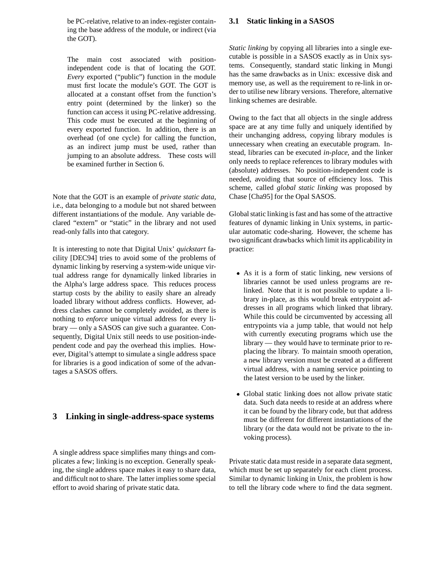be PC-relative, relative to an index-register containing the base address of the module, or indirect (via the GOT).

The main cost associated with positionindependent code is that of locating the GOT. *Every* exported ("public") function in the module must first locate the module's GOT. The GOT is allocated at a constant offset from the function's entry point (determined by the linker) so the function can access it using PC-relative addressing. This code must be executed at the beginning of every exported function. In addition, there is an overhead (of one cycle) for calling the function, as an indirect jump must be used, rather than jumping to an absolute address. These costs will be examined further in Section 6.

Note that the GOT is an example of *private static data*, i.e., data belonging to a module but not shared between different instantiations of the module. Any variable declared "extern" or "static" in the library and not used read-only falls into that category.

It is interesting to note that Digital Unix' *quickstart* facility [DEC94] tries to avoid some of the problems of dynamic linking by reserving a system-wide unique virtual address range for dynamically linked libraries in the Alpha's large address space. This reduces process startup costs by the ability to easily share an already loaded library without address conflicts. However, address clashes cannot be completely avoided, as there is nothing to *enforce* unique virtual address for every library — only a SASOS can give such a guarantee. Consequently, Digital Unix still needs to use position-independent code and pay the overhead this implies. However, Digital's attempt to simulate a single address space for libraries is a good indication of some of the advantages a SASOS offers.

## **3 Linking in single-address-space systems**

A single address space simplifies many things and complicates a few; linking is no exception. Generally speaking, the single address space makes it easy to share data, and difficult not to share. The latter implies some special effort to avoid sharing of private static data.

#### **3.1 Static linking in a SASOS**

*Static linking* by copying all libraries into a single executable is possible in a SASOS exactly as in Unix systems. Consequently, standard static linking in Mungi has the same drawbacks as in Unix: excessive disk and memory use, as well as the requirement to re-link in order to utilise new library versions. Therefore, alternative linking schemes are desirable.

Owing to the fact that all objects in the single address space are at any time fully and uniquely identified by their unchanging address, copying library modules is unnecessary when creating an executable program. Instead, libraries can be executed *in-place*, and the linker only needs to replace references to library modules with (absolute) addresses. No position-independent code is needed, avoiding that source of efficiency loss. This scheme, called *global static linking* was proposed by Chase [Cha95] for the Opal SASOS.

Global static linking is fast and has some of the attractive features of dynamic linking in Unix systems, in particular automatic code-sharing. However, the scheme has two significant drawbacks which limit its applicability in practice:

- As it is a form of static linking, new versions of libraries cannot be used unless programs are relinked. Note that it is not possible to update a library in-place, as this would break entrypoint addresses in all programs which linked that library. While this could be circumvented by accessing all entrypoints via a jump table, that would not help with currently executing programs which use the library — they would have to terminate prior to replacing the library. To maintain smooth operation, a new library version must be created at a different virtual address, with a naming service pointing to the latest version to be used by the linker.
- Global static linking does not allow private static data. Such data needs to reside at an address where it can be found by the library code, but that address must be different for different instantiations of the library (or the data would not be private to the invoking process).

Private static data must reside in a separate data segment, which must be set up separately for each client process. Similar to dynamic linking in Unix, the problem is how to tell the library code where to find the data segment.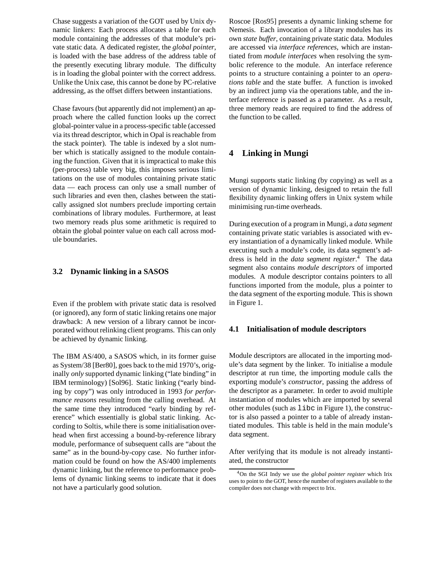Chase suggests a variation of the GOT used by Unix dynamic linkers: Each process allocates a table for each module containing the addresses of that module's private static data. A dedicated register, the *global pointer*, is loaded with the base address of the address table of the presently executing library module. The difficulty is in loading the global pointer with the correct address. Unlike the Unix case, this cannot be done by PC-relative addressing, as the offset differs between instantiations.

Chase favours (but apparently did not implement) an approach where the called function looks up the correct global-pointer value in a process-specific table (accessed via its thread descriptor, which in Opal is reachable from the stack pointer). The table is indexed by a slot number which is statically assigned to the module containing the function. Given that it is impractical to make this (per-process) table very big, this imposes serious limitations on the use of modules containing private static data — each process can only use a small number of such libraries and even then, clashes between the statically assigned slot numbers preclude importing certain combinations of library modules. Furthermore, at least two memory reads plus some arithmetic is required to obtain the global pointer value on each call across module boundaries.

#### **3.2 Dynamic linking in a SASOS**

Even if the problem with private static data is resolved (or ignored), any form of static linking retains one major drawback: A new version of a library cannot be incorporated without relinking client programs. This can only be achieved by dynamic linking.

The IBM AS/400, a SASOS which, in its former guise as System/38 [Ber80], goes back to the mid 1970's, originally *only* supported dynamic linking ("late binding" in IBM terminology) [Sol96]. Static linking ("early binding by copy") was only introduced in 1993 *for performance reasons* resulting from the calling overhead. At the same time they introduced "early binding by reference" which essentially is global static linking. According to Soltis, while there is some initialisation overhead when first accessing a bound-by-reference library module, performance of subsequent calls are "about the same" as in the bound-by-copy case. No further information could be found on how the AS/400 implements dynamic linking, but the reference to performance problems of dynamic linking seems to indicate that it does not have a particularly good solution.

Roscoe [Ros95] presents a dynamic linking scheme for Nemesis. Each invocation of a library modules has its own *state buffer*, containing private static data. Modules are accessed via *interface references*, which are instantiated from *module interfaces* when resolving the symbolic reference to the module. An interface reference points to a structure containing a pointer to an *operations table* and the state buffer. A function is invoked by an indirect jump via the operations table, and the interface reference is passed as a parameter. As a result, three memory reads are required to find the address of the function to be called.

#### **4 Linking in Mungi**

Mungi supports static linking (by copying) as well as a version of dynamic linking, designed to retain the full flexibility dynamic linking offers in Unix system while minimising run-time overheads.

During execution of a program in Mungi, a *data segment* containing private static variables is associated with every instantiation of a dynamically linked module. While executing such a module's code, its data segment's address is held in the *data segment register*. <sup>4</sup> The data segment also contains *module descriptors* of imported modules. A module descriptor contains pointers to all functions imported from the module, plus a pointer to the data segment of the exporting module. This is shown in Figure 1.

#### **4.1 Initialisation of module descriptors**

Module descriptors are allocated in the importing module's data segment by the linker. To initialise a module descriptor at run time, the importing module calls the exporting module's *constructor*, passing the address of the descriptor as a parameter. In order to avoid multiple instantiation of modules which are imported by several other modules (such as libc in Figure 1), the constructor is also passed a pointer to a table of already instantiated modules. This table is held in the main module's data segment.

After verifying that its module is not already instantiated, the constructor

<sup>4</sup>On the SGI Indy we use the *global pointer register* which Irix uses to point to the GOT, hence the number of registers available to the compiler does not change with respect to Irix.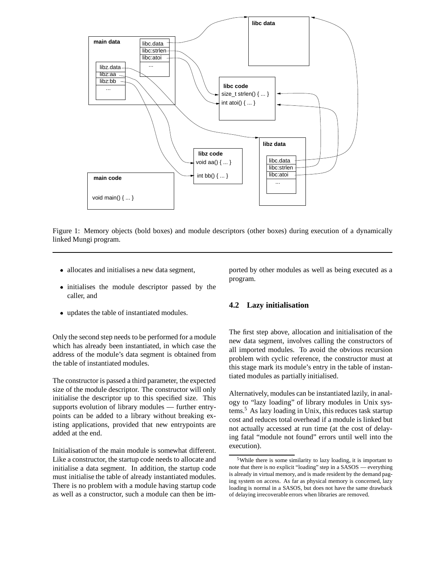

Figure 1: Memory objects (bold boxes) and module descriptors (other boxes) during execution of a dynamically linked Mungi program.

- allocates and initialises a new data segment,
- initialises the module descriptor passed by the caller, and
- updates the table of instantiated modules.

Only the second step needs to be performed for a module which has already been instantiated, in which case the address of the module's data segment is obtained from the table of instantiated modules.

The constructor is passed a third parameter, the expected size of the module descriptor. The constructor will only initialise the descriptor up to this specified size. This supports evolution of library modules — further entrypoints can be added to a library without breaking existing applications, provided that new entrypoints are added at the end.

Initialisation of the main module is somewhat different. Like a constructor, the startup code needs to allocate and initialise a data segment. In addition, the startup code must initialise the table of already instantiated modules. There is no problem with a module having startup code as well as a constructor, such a module can then be imported by other modules as well as being executed as a program.

## **4.2 Lazy initialisation**

The first step above, allocation and initialisation of the new data segment, involves calling the constructors of all imported modules. To avoid the obvious recursion problem with cyclic reference, the constructor must at this stage mark its module's entry in the table of instantiated modules as partially initialised.

Alternatively, modules can be instantiated lazily, in analogy to "lazy loading" of library modules in Unix systems.5 As lazy loading in Unix, this reduces task startup cost and reduces total overhead if a module is linked but not actually accessed at run time (at the cost of delaying fatal "module not found" errors until well into the execution).

<sup>5</sup>While there is some similarity to lazy loading, it is important to note that there is no explicit "loading" step in a SASOS — everything is already in virtual memory, and is made resident by the demand paging system on access. As far as physical memory is concerned, lazy loading is normal in a SASOS, but does not have the same drawback of delaying irrecoverable errors when libraries are removed.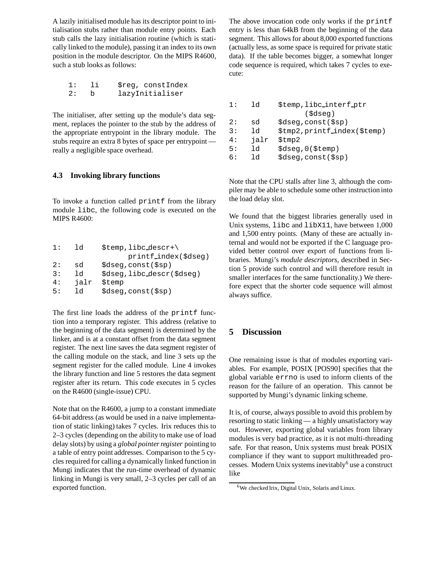A lazily initialised module has its descriptor point to initialisation stubs rather than module entry points. Each stub calls the lazy initialisation routine (which is statically linked to the module), passing it an index to its own position in the module descriptor. On the MIPS R4600, such a stub looks as follows:

1: li \$reg, constIndex 2: b lazyInitialiser

The initialiser, after setting up the module's data segment, replaces the pointer to the stub by the address of the appropriate entrypoint in the library module. The stubs require an extra 8 bytes of space per entrypoint really a negligible space overhead.

#### **4.3 Invoking library functions**

To invoke a function called printf from the library module libc, the following code is executed on the MIPS R4600:

| $\mathcal{S}$ temp, libc_descr+\ |  |  |  |
|----------------------------------|--|--|--|
| printf_index(\$dseg)             |  |  |  |
|                                  |  |  |  |
| \$dseq, libc_descr(\$dseq)       |  |  |  |
|                                  |  |  |  |
|                                  |  |  |  |
|                                  |  |  |  |

The first line loads the address of the printf function into a temporary register. This address (relative to the beginning of the data segment) is determined by the linker, and is at a constant offset from the data segment register. The next line saves the data segment register of the calling module on the stack, and line 3 sets up the segment register for the called module. Line 4 invokes the library function and line 5 restores the data segment register after its return. This code executes in 5 cycles on the R4600 (single-issue) CPU.

Note that on the R4600, a jump to a constant immediate 64-bit address (as would be used in a naive implementation of static linking) takes 7 cycles. Irix reduces this to 2–3 cycles (depending on the ability to make use of load delay slots) by using a *global pointer register* pointing to a table of entry point addresses. Comparison to the 5 cycles required for calling a dynamically linked function in Mungi indicates that the run-time overhead of dynamic linking in Mungi is very small, 2–3 cycles per call of an exported function.

The above invocation code only works if the printf entry is less than 64kB from the beginning of the data segment. This allows for about 8,000 exported functions (actually less, as some space is required for private static data). If the table becomes bigger, a somewhat longer code sequence is required, which takes 7 cycles to execute:

| 1:  | 1٩   | \$temp, libc_interf_ptr                   |
|-----|------|-------------------------------------------|
|     |      | (\$dseq)                                  |
| 2:  | sd   | $\texttt{S}$ dseq, const $(\texttt{Ssp})$ |
| 3 : | 1d   | \$tmp2, printf_index(\$temp)              |
| 4 : | jalr | \$tmp2                                    |
| 5 : | ld   | 3dseq, 0(5temp)                           |
| 6:  | 1٩   | \$dseg,const(\$sp)                        |

Note that the CPU stalls after line 3, although the compiler may be able to schedule some other instruction into the load delay slot.

We found that the biggest libraries generally used in Unix systems, libc and libX11, have between 1,000 and 1,500 entry points. (Many of these are actually internal and would not be exported if the C language provided better control over export of functions from libraries. Mungi's *module descriptors*, described in Section 5 provide such control and will therefore result in smaller interfaces for the same functionality.) We therefore expect that the shorter code sequence will almost always suffice.

# **5 Discussion**

One remaining issue is that of modules exporting variables. For example, POSIX [POS90] specifies that the global variable errno is used to inform clients of the reason for the failure of an operation. This cannot be supported by Mungi's dynamic linking scheme.

It is, of course, always possible to avoid this problem by resorting to static linking — a highly unsatisfactory way out. However, exporting global variables from library modules is very bad practice, as it is not multi-threading safe. For that reason, Unix systems must break POSIX compliance if they want to support multithreaded processes. Modern Unix systems inevitably<sup>6</sup> use a construct like

<sup>&</sup>lt;sup>6</sup>We checked Irix, Digital Unix, Solaris and Linux.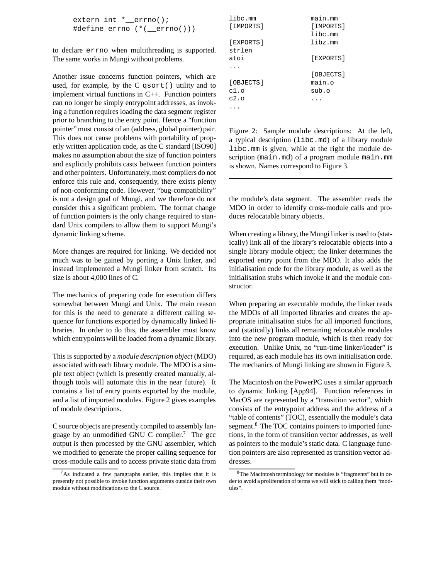```
extern int *_errno();
#define errno (*(__errno()))
```
to declare errno when multithreading is supported. The same works in Mungi without problems.

Another issue concerns function pointers, which are used, for example, by the  $C$  qsort() utility and to implement virtual functions in C++. Function pointers can no longer be simply entrypoint addresses, as invoking a function requires loading the data segment register prior to branching to the entry point. Hence a "function pointer" must consist of an (address, global pointer) pair. This does not cause problems with portability of properly written application code, as the C standard [ISO90] makes no assumption about the size of function pointers and explicitly prohibits casts between function pointers and other pointers. Unfortunately, most compilers do not enforce this rule and, consequently, there exists plenty of non-conforming code. However, "bug-compatibility" is not a design goal of Mungi, and we therefore do not consider this a significant problem. The format change of function pointers is the only change required to standard Unix compilers to allow them to support Mungi's dynamic linking scheme.

More changes are required for linking. We decided not much was to be gained by porting a Unix linker, and instead implemented a Mungi linker from scratch. Its size is about 4,000 lines of C.

The mechanics of preparing code for execution differs somewhat between Mungi and Unix. The main reason for this is the need to generate a different calling sequence for functions exported by dynamically linked libraries. In order to do this, the assembler must know which entrypoints will be loaded from a dynamic library.

This is supported by a *module description object* (MDO) associated with each library module. The MDO is a simple text object (which is presently created manually, although tools will automate this in the near future). It contains a list of entry points exported by the module, and a list of imported modules. Figure 2 gives examples of module descriptions.

C source objects are presently compiled to assembly language by an unmodified GNU C compiler.<sup>7</sup> The gcc output is then processed by the GNU assembler, which we modified to generate the proper calling sequence for cross-module calls and to access private static data from

| libc.mm   | main.mm       |
|-----------|---------------|
| [IMPORTS] | [IMPORTS]     |
|           | $link$ ibc.mm |
| [EXPORTS] | libz.mm       |
| strlen    |               |
| atoi      | [EXPORTS]     |
|           |               |
|           | [OBJECTS]     |
| [OBJECTS] | main.o        |
| c1.0      | sub.o         |
| c2.0      |               |
|           |               |

Figure 2: Sample module descriptions: At the left, a typical description (libc.md) of a library module libc.mm is given, while at the right the module description (main.md) of a program module main.mm is shown. Names correspond to Figure 3.

the module's data segment. The assembler reads the MDO in order to identify cross-module calls and produces relocatable binary objects.

When creating a library, the Mungi linker is used to (statically) link all of the library's relocatable objects into a single library module object; the linker determines the exported entry point from the MDO. It also adds the initialisation code for the library module, as well as the initialisation stubs which invoke it and the module constructor.

When preparing an executable module, the linker reads the MDOs of all imported libraries and creates the appropriate initialisation stubs for all imported functions, and (statically) links all remaining relocatable modules into the new program module, which is then ready for execution. Unlike Unix, no "run-time linker/loader" is required, as each module has its own initialisation code. The mechanics of Mungi linking are shown in Figure 3.

The Macintosh on the PowerPC uses a similar approach to dynamic linking [App94]. Function references in MacOS are represented by a "transition vector", which consists of the entrypoint address and the address of a "table of contents" (TOC), essentially the module's data segment.<sup>8</sup> The TOC contains pointers to imported functions, in the form of transition vector addresses, as well as pointers to the module's static data. C language function pointers are also represented as transition vector addresses.

<sup>&</sup>lt;sup>7</sup>As indicated a few paragraphs earlier, this implies that it is presently not possible to invoke function arguments outside their own module without modifications to the C source.

<sup>8</sup>The Macintosh terminology for modules is "fragments" but in order to avoid a proliferation of terms we will stick to calling them "modules".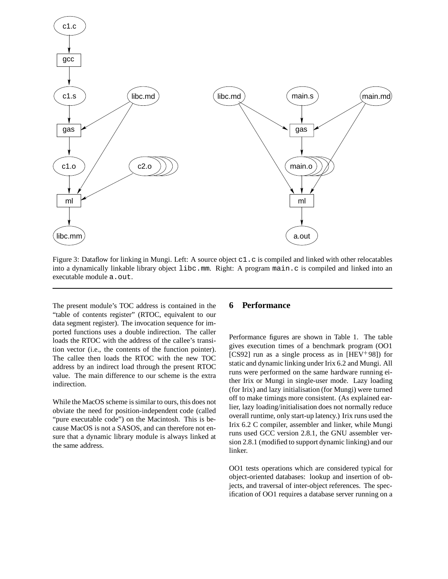

Figure 3: Dataflow for linking in Mungi. Left: A source object c1.c is compiled and linked with other relocatables into a dynamically linkable library object libc.mm. Right: A program main.c is compiled and linked into an executable module a.out.

The present module's TOC address is contained in the "table of contents register" (RTOC, equivalent to our data segment register). The invocation sequence for imported functions uses a double indirection. The caller loads the RTOC with the address of the callee's transition vector (i.e., the contents of the function pointer). The callee then loads the RTOC with the new TOC address by an indirect load through the present RTOC value. The main difference to our scheme is the extra indirection.

While the MacOS scheme is similar to ours, this does not obviate the need for position-independent code (called "pure executable code") on the Macintosh. This is because MacOS is not a SASOS, and can therefore not ensure that a dynamic library module is always linked at the same address.

#### **6 Performance**

Performance figures are shown in Table 1. The table gives execution times of a benchmark program (OO1 [CS92] run as a single process as in [HEV<sup>+</sup> 98]) for static and dynamic linking under Irix 6.2 and Mungi. All runs were performed on the same hardware running either Irix or Mungi in single-user mode. Lazy loading (for Irix) and lazy initialisation (for Mungi) were turned off to make timings more consistent. (As explained earlier, lazy loading/initialisation does not normally reduce overall runtime, only start-up latency.) Irix runs used the Irix 6.2 C compiler, assembler and linker, while Mungi runs used GCC version 2.8.1, the GNU assembler version 2.8.1 (modified to support dynamic linking) and our linker.

OO1 tests operations which are considered typical for object-oriented databases: lookup and insertion of objects, and traversal of inter-object references. The specification of OO1 requires a database server running on a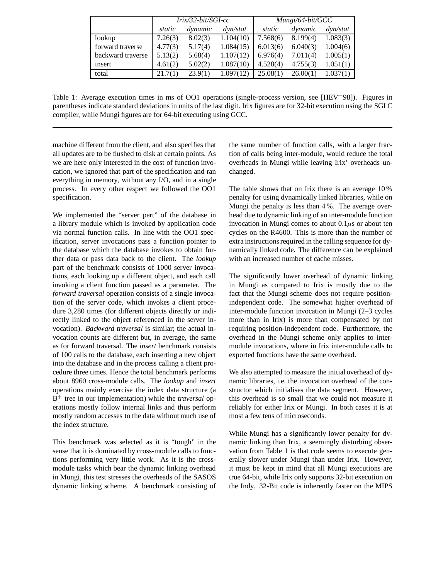|                   | $Irix/32-bit/SGI-cc$ |         |                   | Mungi/64-bit/GCC |          |                        |
|-------------------|----------------------|---------|-------------------|------------------|----------|------------------------|
|                   | static               | dynamic | $\frac{dw}{stat}$ | static           | dynamic  | $\frac{d}{v}$ dyn/stat |
| lookup            | 7.26(3)              | 8.02(3) | 1.104(10)         | 7.568(6)         | 8.199(4) | 1.083(3)               |
| forward traverse  | 4.77(3)              | 5.17(4) | 1.084(15)         | 6.013(6)         | 6.040(3) | 1.004(6)               |
| backward traverse | 5.13(2)              | 5.68(4) | 1.107(12)         | 6.976(4)         | 7.011(4) | 1.005(1)               |
| insert            | 4.61(2)              | 5.02(2) | 1.087(10)         | 4.528(4)         | 4.755(3) | 1.051(1)               |
| total             | 21.7(1)              | 23.9(1) | 1.097(12)         | 25.08(1)         | 26.00(1) | 1.037(1)               |

Table 1: Average execution times in ms of OO1 operations (single-process version, see [HEV<sup>+</sup>98]). Figures in parentheses indicate standard deviations in units of the last digit. Irix figures are for 32-bit execution using the SGI C compiler, while Mungi figures are for 64-bit executing using GCC.

machine different from the client, and also specifies that all updates are to be flushed to disk at certain points. As we are here only interested in the cost of function invocation, we ignored that part of the specification and ran everything in memory, without any I/O, and in a single process. In every other respect we followed the OO1 specification.

We implemented the "server part" of the database in a library module which is invoked by application code via normal function calls. In line with the OO1 specification, server invocations pass a function pointer to the database which the database invokes to obtain further data or pass data back to the client. The *lookup* part of the benchmark consists of 1000 server invocations, each looking up a different object, and each call invoking a client function passed as a parameter. The *forward traversal* operation consists of a single invocation of the server code, which invokes a client procedure 3,280 times (for different objects directly or indirectly linked to the object referenced in the server invocation). *Backward traversal* is similar; the actual invocation counts are different but, in average, the same as for forward traversal. The *insert* benchmark consists of 100 calls to the database, each inserting a new object into the database and in the process calling a client procedure three times. Hence the total benchmark performs about 8960 cross-module calls. The *lookup* and *insert* operations mainly exercise the index data structure (a B<sup>+</sup> tree in our implementation) while the *traversal* operations mostly follow internal links and thus perform mostly random accesses to the data without much use of the index structure.

This benchmark was selected as it is "tough" in the sense that it is dominated by cross-module calls to functions performing very little work. As it is the crossmodule tasks which bear the dynamic linking overhead in Mungi, this test stresses the overheads of the SASOS dynamic linking scheme. A benchmark consisting of the same number of function calls, with a larger fraction of calls being inter-module, would reduce the total overheads in Mungi while leaving Irix' overheads unchanged.

The table shows that on Irix there is an average 10 % penalty for using dynamically linked libraries, while on Mungi the penalty is less than 4 %. The average overhead due to dynamic linking of an inter-module function invocation in Mungi comes to about  $0.1 \mu s$  or about ten cycles on the R4600. This is more than the number of extra instructions required in the calling sequence for dynamically linked code. The difference can be explained with an increased number of cache misses.

The significantly lower overhead of dynamic linking in Mungi as compared to Irix is mostly due to the fact that the Mungi scheme does not require positionindependent code. The somewhat higher overhead of inter-module function invocation in Mungi (2–3 cycles more than in Irix) is more than compensated by not requiring position-independent code. Furthermore, the overhead in the Mungi scheme only applies to intermodule invocations, where in Irix inter-module calls to exported functions have the same overhead.

We also attempted to measure the initial overhead of dynamic libraries, i.e. the invocation overhead of the constructor which initialises the data segment. However, this overhead is so small that we could not measure it reliably for either Irix or Mungi. In both cases it is at most a few tens of microseconds.

While Mungi has a significantly lower penalty for dynamic linking than Irix, a seemingly disturbing observation from Table 1 is that code seems to execute generally slower under Mungi than under Irix. However, it must be kept in mind that all Mungi executions are true 64-bit, while Irix only supports 32-bit execution on the Indy. 32-Bit code is inherently faster on the MIPS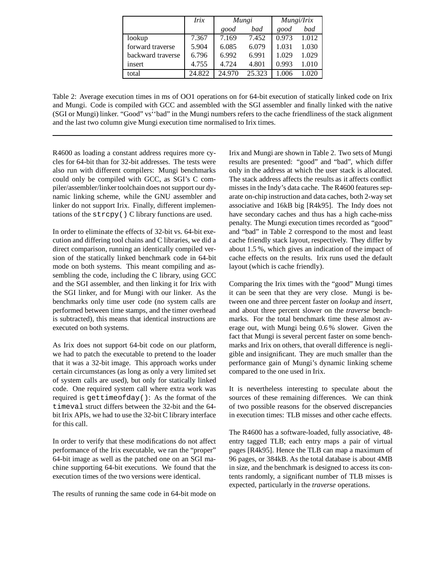|                   | Irix   | Mungi  |        | Mungi/Irix |       |
|-------------------|--------|--------|--------|------------|-------|
|                   |        | good   | bad    | good       | bad   |
| lookup            | 7.367  | 7.169  | 7.452  | 0.973      | 1.012 |
| forward traverse  | 5.904  | 6.085  | 6.079  | 1.031      | 1.030 |
| backward traverse | 6.796  | 6.992  | 6.991  | 1.029      | 1.029 |
| insert            | 4.755  | 4.724  | 4.801  | 0.993      | 1.010 |
| total             | 24.822 | 24.970 | 25.323 | 1 በበ6      |       |

Table 2: Average execution times in ms of OO1 operations on for 64-bit execution of statically linked code on Irix and Mungi. Code is compiled with GCC and assembled with the SGI assembler and finally linked with the native (SGI or Mungi) linker. "Good" vs˙''bad" in the Mungi numbers refers to the cache friendliness of the stack alignment and the last two column give Mungi execution time normalised to Irix times.

R4600 as loading a constant address requires more cycles for 64-bit than for 32-bit addresses. The tests were also run with different compilers: Mungi benchmarks could only be compiled with GCC, as SGI's C compiler/assembler/linker toolchain does not support our dynamic linking scheme, while the GNU assembler and linker do not support Irix. Finally, different implementations of the strcpy() C library functions are used.

In order to eliminate the effects of 32-bit vs. 64-bit execution and differing tool chains and C libraries, we did a direct comparison, running an identically compiled version of the statically linked benchmark code in 64-bit mode on both systems. This meant compiling and assembling the code, including the C library, using GCC and the SGI assembler, and then linking it for Irix with the SGI linker, and for Mungi with our linker. As the benchmarks only time user code (no system calls are performed between time stamps, and the timer overhead is subtracted), this means that identical instructions are executed on both systems.

As Irix does not support 64-bit code on our platform, we had to patch the executable to pretend to the loader that it was a 32-bit image. This approach works under certain circumstances (as long as only a very limited set of system calls are used), but only for statically linked code. One required system call where extra work was required is gettimeofday(): As the format of the timeval struct differs between the 32-bit and the 64 bit Irix APIs, we had to use the 32-bit C library interface for this call.

In order to verify that these modifications do not affect performance of the Irix executable, we ran the "proper" 64-bit image as well as the patched one on an SGI machine supporting 64-bit executions. We found that the execution times of the two versions were identical.

The results of running the same code in 64-bit mode on

Irix and Mungi are shown in Table 2. Two sets of Mungi results are presented: "good" and "bad", which differ only in the address at which the user stack is allocated. The stack address affects the results as it affects conflict misses in the Indy's data cache. The R4600 features separate on-chip instruction and data caches, both 2-way set associative and 16kB big [R4k95]. The Indy does not have secondary caches and thus has a high cache-miss penalty. The Mungi execution times recorded as "good" and "bad" in Table 2 correspond to the most and least cache friendly stack layout, respectively. They differ by about 1.5 %, which gives an indication of the impact of cache effects on the results. Irix runs used the default layout (which is cache friendly).

Comparing the Irix times with the "good" Mungi times it can be seen that they are very close. Mungi is between one and three percent faster on *lookup* and *insert*, and about three percent slower on the *traverse* benchmarks. For the total benchmark time these almost average out, with Mungi being 0.6 % slower. Given the fact that Mungi is several percent faster on some benchmarks and Irix on others, that overall difference is negligible and insignificant. They are much smaller than the performance gain of Mungi's dynamic linking scheme compared to the one used in Irix.

It is nevertheless interesting to speculate about the sources of these remaining differences. We can think of two possible reasons for the observed discrepancies in execution times: TLB misses and other cache effects.

The R4600 has a software-loaded, fully associative, 48 entry tagged TLB; each entry maps a pair of virtual pages [R4k95]. Hence the TLB can map a maximum of 96 pages, or 384kB. As the total database is about 4MB in size, and the benchmark is designed to access its contents randomly, a significant number of TLB misses is expected, particularly in the *traverse* operations.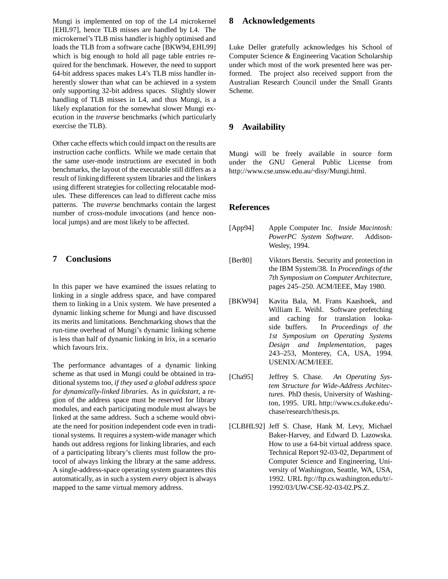Mungi is implemented on top of the L4 microkernel [EHL97], hence TLB misses are handled by L4. The microkernel's TLB miss handler is highly optimised and loads the TLB from a software cache [BKW94,EHL99] which is big enough to hold all page table entries required for the benchmark. However, the need to support 64-bit address spaces makes L4's TLB miss handler inherently slower than what can be achieved in a system only supporting 32-bit address spaces. Slightly slower handling of TLB misses in L4, and thus Mungi, is a likely explanation for the somewhat slower Mungi execution in the *traverse* benchmarks (which particularly exercise the TLB).

Other cache effects which could impact on the results are instruction cache conflicts. While we made certain that the same user-mode instructions are executed in both benchmarks, the layout of the executable still differs as a result of linking different system libraries and the linkers using different strategies for collecting relocatable modules. These differences can lead to different cache miss patterns. The *traverse* benchmarks contain the largest number of cross-module invocations (and hence nonlocal jumps) and are most likely to be affected.

# **7 Conclusions**

In this paper we have examined the issues relating to linking in a single address space, and have compared them to linking in a Unix system. We have presented a dynamic linking scheme for Mungi and have discussed its merits and limitations. Benchmarking shows that the run-time overhead of Mungi's dynamic linking scheme is less than half of dynamic linking in Irix, in a scenario which favours Irix.

The performance advantages of a dynamic linking scheme as that used in Mungi could be obtained in traditional systems too, *if they used a global address space for dynamically-linked libraries*. As in *quickstart*, a region of the address space must be reserved for library modules, and each participating module must always be linked at the same address. Such a scheme would obviate the need for position independent code even in traditional systems. It requires a system-wide manager which hands out address regions for linking libraries, and each of a participating library's clients must follow the protocol of always linking the library at the same address. A single-address-space operating system guarantees this automatically, as in such a system *every* object is always mapped to the same virtual memory address.

#### **8 Acknowledgements**

Luke Deller gratefully acknowledges his School of Computer Science & Engineering Vacation Scholarship under which most of the work presented here was performed. The project also received support from the Australian Research Council under the Small Grants Scheme.

# **9 Availability**

Mungi will be freely available in source form under the GNU General Public License from http://www.cse.unsw.edu.au/~disy/Mungi.html.

#### **References**

- [App94] Apple Computer Inc. *Inside Macintosh: PowerPC System Software*. Addison-Wesley, 1994.
- [Ber80] Viktors Berstis. Security and protection in the IBM System/38. In *Proceedings of the 7th Symposium on Computer Architecture*, pages 245–250. ACM/IEEE, May 1980.
- [BKW94] Kavita Bala, M. Frans Kaashoek, and William E. Weihl. Software prefetching and caching for translation lookaside buffers. In *Proceedings of the 1st Symposium on Operating Systems Design and Implementation*, pages 243–253, Monterey, CA, USA, 1994. USENIX/ACM/IEEE.
- [Cha95] Jeffrey S. Chase. *An Operating System Structure for Wide-Address Architectures*. PhD thesis, University of Washington, 1995. URL http://www.cs.duke.edu/ chase/research/thesis.ps.
- [CLBHL92] Jeff S. Chase, Hank M. Levy, Michael Baker-Harvey, and Edward D. Lazowska. How to use a 64-bit virtual address space. Technical Report 92-03-02, Department of Computer Science and Engineering, University of Washington, Seattle, WA, USA, 1992. URL ftp://ftp.cs.washington.edu/tr/- 1992/03/UW-CSE-92-03-02.PS.Z.